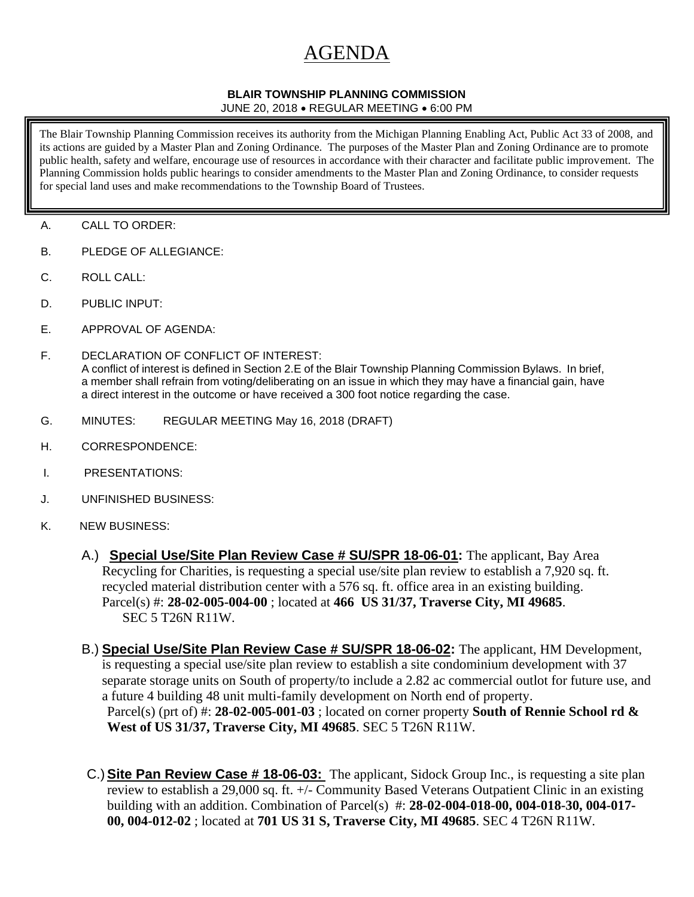## AGENDA

## **BLAIR TOWNSHIP PLANNING COMMISSION**

JUNE 20, 2018 • REGULAR MEETING • 6:00 PM

The Blair Township Planning Commission receives its authority from the Michigan Planning Enabling Act, Public Act 33 of 2008, and its actions are guided by a Master Plan and Zoning Ordinance. The purposes of the Master Plan and Zoning Ordinance are to promote public health, safety and welfare, encourage use of resources in accordance with their character and facilitate public improvement. The Planning Commission holds public hearings to consider amendments to the Master Plan and Zoning Ordinance, to consider requests for special land uses and make recommendations to the Township Board of Trustees.

- A. CALL TO ORDER:
- B. PLEDGE OF ALLEGIANCE:
- C. ROLL CALL:
- D. PUBLIC INPUT:
- E. APPROVAL OF AGENDA:
- F. DECLARATION OF CONFLICT OF INTEREST: A conflict of interest is defined in Section 2.E of the Blair Township Planning Commission Bylaws. In brief, a member shall refrain from voting/deliberating on an issue in which they may have a financial gain, have a direct interest in the outcome or have received a 300 foot notice regarding the case.
- G. MINUTES: REGULAR MEETING May 16, 2018 (DRAFT)
- H. CORRESPONDENCE:
- I. PRESENTATIONS:
- J. UNFINISHED BUSINESS:
- K. NEW BUSINESS:
	- A.) **Special Use/Site Plan Review Case # SU/SPR 18-06-01:** The applicant, Bay Area Recycling for Charities, is requesting a special use/site plan review to establish a 7,920 sq. ft. recycled material distribution center with a 576 sq. ft. office area in an existing building. Parcel(s) #: **28-02-005-004-00** ; located at **466 US 31/37, Traverse City, MI 49685**. SEC 5 T26N R11W.
	- B.) **Special Use/Site Plan Review Case # SU/SPR 18-06-02:** The applicant, HM Development, is requesting a special use/site plan review to establish a site condominium development with 37 separate storage units on South of property/to include a 2.82 ac commercial outlot for future use, and a future 4 building 48 unit multi-family development on North end of property. Parcel(s) (prt of) #: **28-02-005-001-03** ; located on corner property **South of Rennie School rd & West of US 31/37, Traverse City, MI 49685**. SEC 5 T26N R11W.
	- C.) **Site Pan Review Case # 18-06-03:** The applicant, Sidock Group Inc., is requesting a site plan review to establish a 29,000 sq. ft. +/- Community Based Veterans Outpatient Clinic in an existing building with an addition. Combination of Parcel(s) #: **28-02-004-018-00, 004-018-30, 004-017- 00, 004-012-02** ; located at **701 US 31 S, Traverse City, MI 49685**. SEC 4 T26N R11W.